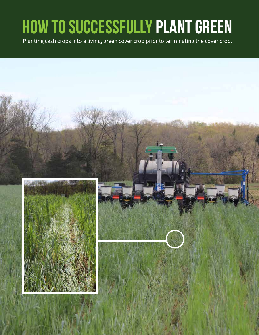### **How to successfully Plant green**

Planting cash crops into a living, green cover crop prior to terminating the cover crop.

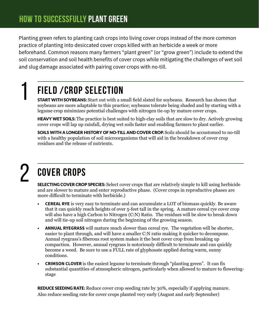Planting green refers to planting cash crops into living cover crops instead of the more common practice of planting into desiccated cover crops killed with an herbicide a week or more beforehand. Common reasons many farmers "plant green" (or "grow green") include to extend the soil conservation and soil health benefits of cover crops while mitigating the challenges of wet soil and slug damage associated with pairing cover crops with no-till.

### **Field /crop Selection**

START WITH SOYBEANS: Start out with a small field slated for soybeans. Research has shown that soybeans are more adaptable to this practice; soybeans tolerate being shaded and by starting with a legume crop minimizes potential challenges with nitrogen tie-up by mature cover crops.

**HEAVY WET SOILS:** The practice is best suited to high-clay soils that are slow to dry. Actively growing cover crops will lap up rainfall, drying wet soils faster and enabling farmers to plant earlier.

SOILS WITH A LONGER HISTORY OF NO-TILL AND COVER CROP. Soils should be accustomed to no-till with a healthy population of soil microorganisms that will aid in the breakdown of cover crop residues and the release of nutrients.

# 2

1

### **Cover Crops**

**SELECTING COVER CROP SPECIES:** Select cover crops that are relatively simple to kill using herbicide and are slower to mature and enter reproductive phase. (Cover crops in reproductive phases are more difficult to terminate with herbicide.)

- **CEREAL RYE** is very easy to terminate and can accumulate a LOT of biomass quickly. Be aware that it can quickly reach heights of over 5-feet tall in the spring. A mature cereal rye cover crop will also have a high Carbon to Nitrogen (C:N) Ratio. The residues will be slow to break down and will tie-up soil nitrogen during the beginning of the growing season.
- **ANNUAL RYEGRASS** will mature much slower than cereal rye. The vegetation will be shorter, easier to plant through, and will have a smaller C:N ratio making it quicker to decompose. Annual ryegrass's fiberous root system makes it the best cover crop from breaking up compaction. However, annual ryegrass is notoriously difficult to terminate and can quickly become a weed. Be sure to use a FULL rate of glyphosate applied during warm, sunny conditions.
- **CRIMSON CLOVER** is the easiest legume to terminate through "planting green". It can fix substantial quantities of atmospheric nitrogen, particularly when allowed to mature to floweringstage

**REDUCE SEEDING RATE:** Reduce cover crop seeding rate by 30%, especially if applying manure. Also reduce seeding rate for cover crops planted very early (August and early September)